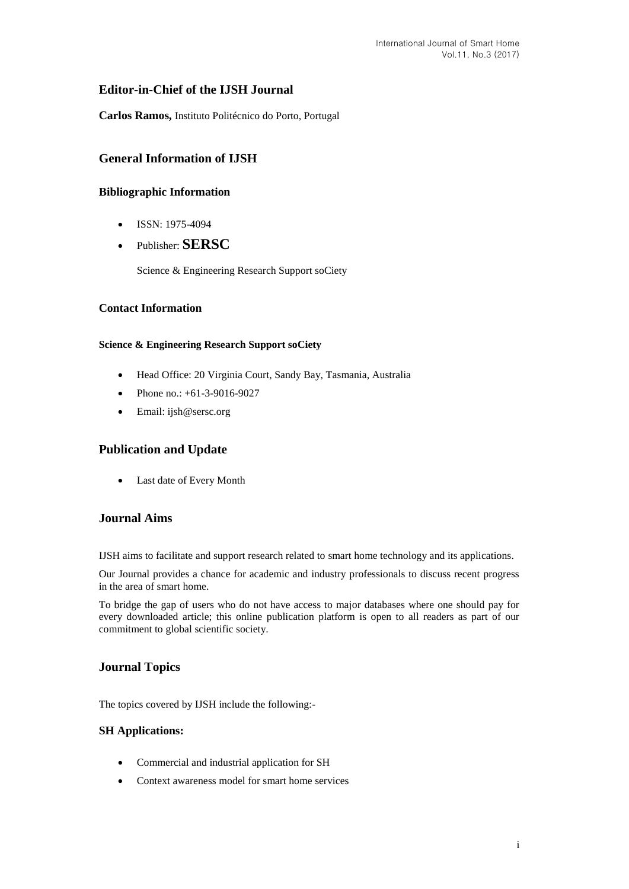# **Editor-in-Chief of the IJSH Journal**

**Carlos Ramos,** Instituto Politécnico do Porto, Portugal

# **General Information of IJSH**

## **Bibliographic Information**

- $\bullet$  ISSN: 1975-4094
- Publisher: **SERSC**

Science & Engineering Research Support soCiety

### **Contact Information**

#### **Science & Engineering Research Support soCiety**

- Head Office: 20 Virginia Court, Sandy Bay, Tasmania, Australia
- Phone no.: +61-3-9016-9027
- Email: [ijsh@sersc.org](mailto:ijast@sersc.org)

# **Publication and Update**

Last date of Every Month

## **Journal Aims**

IJSH aims to facilitate and support research related to smart home technology and its applications.

Our Journal provides a chance for academic and industry professionals to discuss recent progress in the area of smart home.

To bridge the gap of users who do not have access to major databases where one should pay for every downloaded article; this online publication platform is open to all readers as part of our commitment to global scientific society.

# **Journal Topics**

The topics covered by IJSH include the following:-

#### **SH Applications:**

- Commercial and industrial application for SH
- Context awareness model for smart home services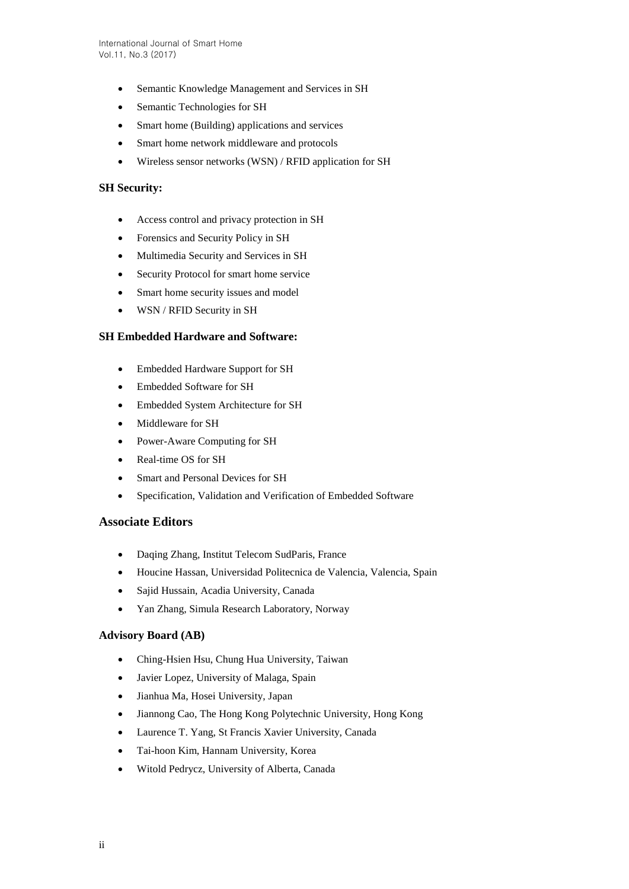- Semantic Knowledge Management and Services in SH
- Semantic Technologies for SH
- Smart home (Building) applications and services
- Smart home network middleware and protocols
- Wireless sensor networks (WSN) / RFID application for SH

### **SH Security:**

- Access control and privacy protection in SH
- Forensics and Security Policy in SH
- Multimedia Security and Services in SH
- Security Protocol for smart home service
- Smart home security issues and model
- WSN / RFID Security in SH

#### **SH Embedded Hardware and Software:**

- Embedded Hardware Support for SH
- Embedded Software for SH
- Embedded System Architecture for SH
- Middleware for SH
- Power-Aware Computing for SH
- Real-time OS for SH
- Smart and Personal Devices for SH
- Specification, Validation and Verification of Embedded Software

#### **Associate Editors**

- Daqing Zhang, Institut Telecom SudParis, France
- Houcine Hassan, Universidad Politecnica de Valencia, Valencia, Spain
- Sajid Hussain, Acadia University, Canada
- Yan Zhang, Simula Research Laboratory, Norway

### **Advisory Board (AB)**

- Ching-Hsien Hsu, Chung Hua University, Taiwan
- Javier Lopez, University of Malaga, Spain
- Jianhua Ma, Hosei University, Japan
- Jiannong Cao, The Hong Kong Polytechnic University, Hong Kong
- Laurence T. Yang, St Francis Xavier University, Canada
- Tai-hoon Kim, Hannam University, Korea
- Witold Pedrycz, University of Alberta, Canada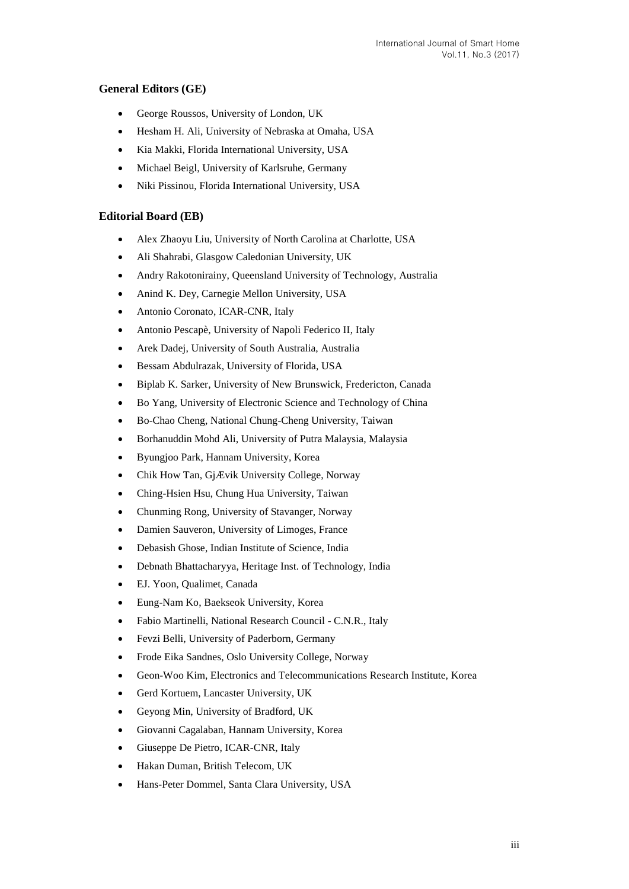## **General Editors (GE)**

- George Roussos, University of London, UK
- Hesham H. Ali, University of Nebraska at Omaha, USA
- Kia Makki, Florida International University, USA
- Michael Beigl, University of Karlsruhe, Germany
- Niki Pissinou, Florida International University, USA

### **Editorial Board (EB)**

- Alex Zhaoyu Liu, University of North Carolina at Charlotte, USA
- Ali Shahrabi, Glasgow Caledonian University, UK
- Andry Rakotonirainy, Queensland University of Technology, Australia
- Anind K. Dey, Carnegie Mellon University, USA
- Antonio Coronato, ICAR-CNR, Italy
- Antonio Pescapè, University of Napoli Federico II, Italy
- Arek Dadej, University of South Australia, Australia
- Bessam Abdulrazak, University of Florida, USA
- Biplab K. Sarker, University of New Brunswick, Fredericton, Canada
- Bo Yang, University of Electronic Science and Technology of China
- Bo-Chao Cheng, National Chung-Cheng University, Taiwan
- Borhanuddin Mohd Ali, University of Putra Malaysia, Malaysia
- Byungjoo Park, Hannam University, Korea
- Chik How Tan, GjÆ vik University College, Norway
- Ching-Hsien Hsu, Chung Hua University, Taiwan
- Chunming Rong, University of Stavanger, Norway
- Damien Sauveron, University of Limoges, France
- Debasish Ghose, Indian Institute of Science, India
- Debnath Bhattacharyya, Heritage Inst. of Technology, India
- EJ. Yoon, Qualimet, Canada
- Eung-Nam Ko, Baekseok University, Korea
- Fabio Martinelli, National Research Council C.N.R., Italy
- Fevzi Belli, University of Paderborn, Germany
- Frode Eika Sandnes, Oslo University College, Norway
- Geon-Woo Kim, Electronics and Telecommunications Research Institute, Korea
- Gerd Kortuem, Lancaster University, UK
- Geyong Min, University of Bradford, UK
- Giovanni Cagalaban, Hannam University, Korea
- Giuseppe De Pietro, ICAR-CNR, Italy
- Hakan Duman, British Telecom, UK
- Hans-Peter Dommel, Santa Clara University, USA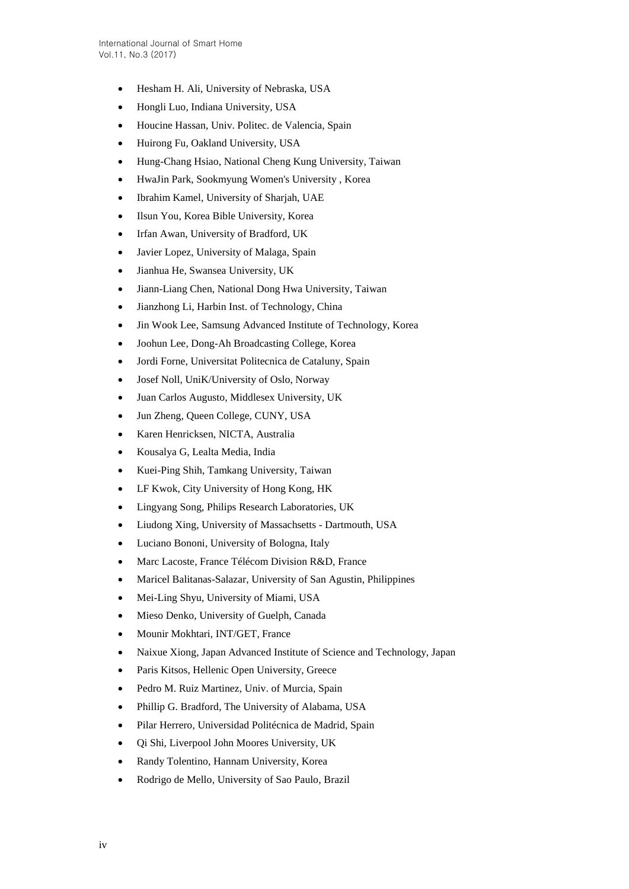- Hesham H. Ali, University of Nebraska, USA
- Hongli Luo, Indiana University, USA
- Houcine Hassan, Univ. Politec. de Valencia, Spain
- Huirong Fu, Oakland University, USA
- Hung-Chang Hsiao, National Cheng Kung University, Taiwan
- HwaJin Park, Sookmyung Women's University , Korea
- Ibrahim Kamel, University of Sharjah, UAE
- Ilsun You, Korea Bible University, Korea
- Irfan Awan, University of Bradford, UK
- Javier Lopez, University of Malaga, Spain
- Jianhua He, Swansea University, UK
- Jiann-Liang Chen, National Dong Hwa University, Taiwan
- Jianzhong Li, Harbin Inst. of Technology, China
- Jin Wook Lee, Samsung Advanced Institute of Technology, Korea
- Joohun Lee, Dong-Ah Broadcasting College, Korea
- Jordi Forne, Universitat Politecnica de Cataluny, Spain
- Josef Noll, UniK/University of Oslo, Norway
- Juan Carlos Augusto, Middlesex University, UK
- Jun Zheng, Queen College, CUNY, USA
- Karen Henricksen, NICTA, Australia
- Kousalya G, Lealta Media, India
- Kuei-Ping Shih, Tamkang University, Taiwan
- LF Kwok, City University of Hong Kong, HK
- Lingyang Song, Philips Research Laboratories, UK
- Liudong Xing, University of Massachsetts Dartmouth, USA
- Luciano Bononi, University of Bologna, Italy
- Marc Lacoste, France Télécom Division R&D, France
- Maricel Balitanas-Salazar, University of San Agustin, Philippines
- Mei-Ling Shyu, University of Miami, USA
- Mieso Denko, University of Guelph, Canada
- Mounir Mokhtari, INT/GET, France
- Naixue Xiong, Japan Advanced Institute of Science and Technology, Japan
- Paris Kitsos, Hellenic Open University, Greece
- Pedro M. Ruiz Martinez, Univ. of Murcia, Spain
- Phillip G. Bradford, The University of Alabama, USA
- Pilar Herrero, Universidad Politécnica de Madrid, Spain
- Qi Shi, Liverpool John Moores University, UK
- Randy Tolentino, Hannam University, Korea
- Rodrigo de Mello, University of Sao Paulo, Brazil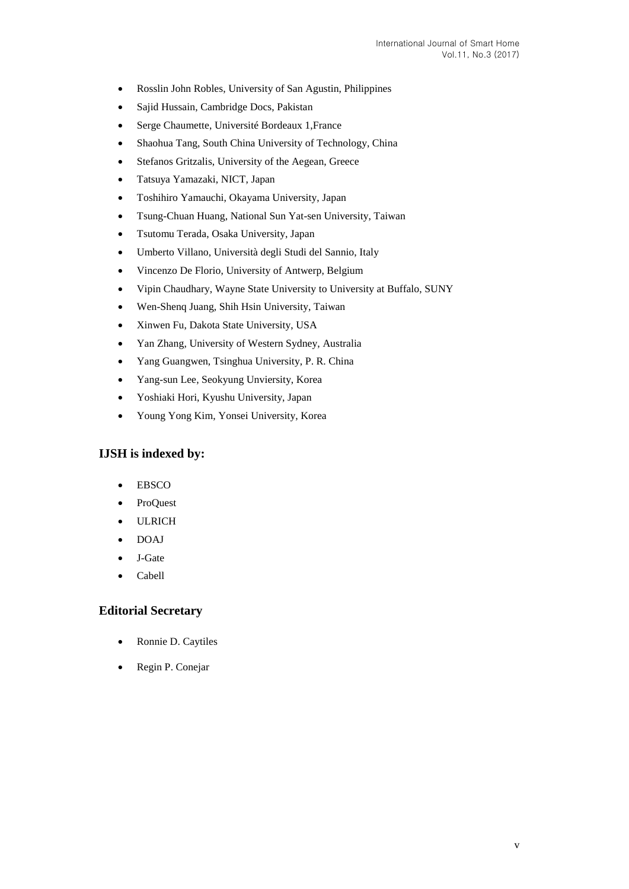- Rosslin John Robles, University of San Agustin, Philippines
- Sajid Hussain, Cambridge Docs, Pakistan
- Serge Chaumette, Université Bordeaux 1,France
- Shaohua Tang, South China University of Technology, China
- Stefanos Gritzalis, University of the Aegean, Greece
- Tatsuya Yamazaki, NICT, Japan
- Toshihiro Yamauchi, Okayama University, Japan
- Tsung-Chuan Huang, National Sun Yat-sen University, Taiwan
- Tsutomu Terada, Osaka University, Japan
- Umberto Villano, Università degli Studi del Sannio, Italy
- Vincenzo De Florio, University of Antwerp, Belgium
- Vipin Chaudhary, Wayne State University to University at Buffalo, SUNY
- Wen-Shenq Juang, Shih Hsin University, Taiwan
- Xinwen Fu, Dakota State University, USA
- Yan Zhang, University of Western Sydney, Australia
- Yang Guangwen, Tsinghua University, P. R. China
- Yang-sun Lee, Seokyung Unviersity, Korea
- Yoshiaki Hori, Kyushu University, Japan
- Young Yong Kim, Yonsei University, Korea

## **IJSH is indexed by:**

- EBSCO
- ProQuest
- ULRICH
- DOAJ
- J-Gate
- Cabell

### **Editorial Secretary**

- Ronnie D. Caytiles
- Regin P. Conejar